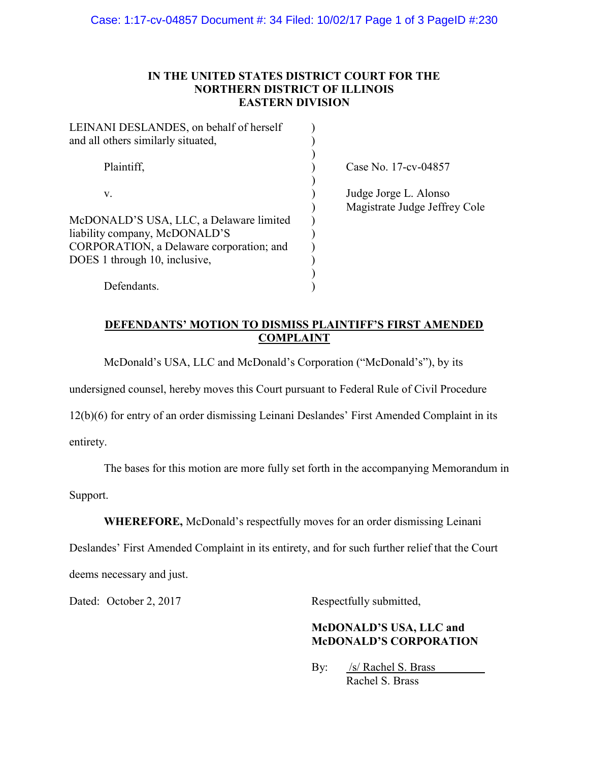#### IN THE UNITED STATES DISTRICT COURT FOR THE NORTHERN DISTRICT OF ILLINOIS EASTERN DIVISION

| LEINANI DESLANDES, on behalf of herself<br>and all others similarly situated, |                                                        |
|-------------------------------------------------------------------------------|--------------------------------------------------------|
| Plaintiff,                                                                    | Case No. 17-cv-04857                                   |
| V.                                                                            | Judge Jorge L. Alonso<br>Magistrate Judge Jeffrey Cole |
| McDONALD'S USA, LLC, a Delaware limited                                       |                                                        |
| liability company, McDONALD'S                                                 |                                                        |
| CORPORATION, a Delaware corporation; and                                      |                                                        |
| DOES 1 through 10, inclusive,                                                 |                                                        |
|                                                                               |                                                        |
| Defendants.                                                                   |                                                        |

### DEFENDANTS' MOTION TO DISMISS PLAINTIFF'S FIRST AMENDED **COMPLAINT**

McDonald's USA, LLC and McDonald's Corporation ("McDonald's"), by its

undersigned counsel, hereby moves this Court pursuant to Federal Rule of Civil Procedure

12(b)(6) for entry of an order dismissing Leinani Deslandes' First Amended Complaint in its

entirety.

The bases for this motion are more fully set forth in the accompanying Memorandum in

Support.

WHEREFORE, McDonald's respectfully moves for an order dismissing Leinani

Deslandes' First Amended Complaint in its entirety, and for such further relief that the Court

deems necessary and just.

Dated: October 2, 2017 Respectfully submitted,

## McDONALD'S USA, LLC and McDONALD'S CORPORATION

By: /s/ Rachel S. Brass Rachel S. Brass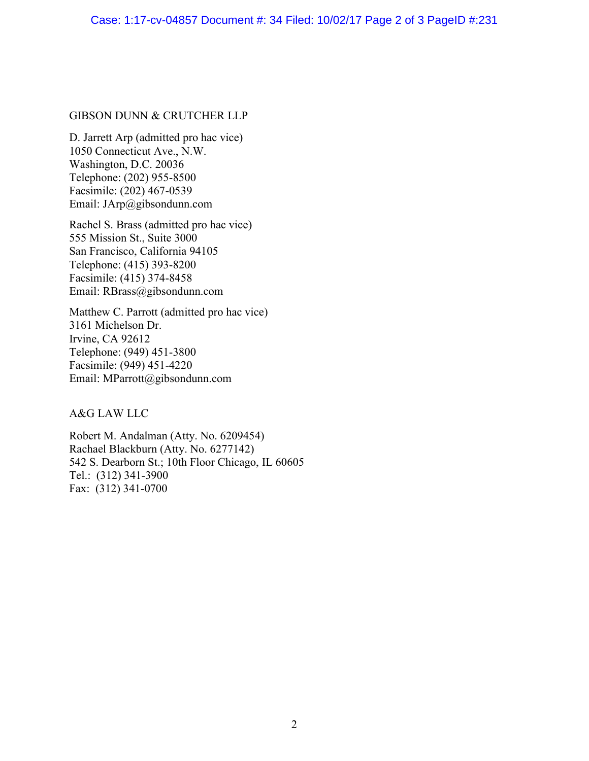#### GIBSON DUNN & CRUTCHER LLP

D. Jarrett Arp (admitted pro hac vice) 1050 Connecticut Ave., N.W. Washington, D.C. 20036 Telephone: (202) 955-8500 Facsimile: (202) 467-0539 Email: JArp@gibsondunn.com

Rachel S. Brass (admitted pro hac vice) 555 Mission St., Suite 3000 San Francisco, California 94105 Telephone: (415) 393-8200 Facsimile: (415) 374-8458 Email: RBrass@gibsondunn.com

Matthew C. Parrott (admitted pro hac vice) 3161 Michelson Dr. Irvine, CA 92612 Telephone: (949) 451-3800 Facsimile: (949) 451-4220 Email: MParrott@gibsondunn.com

A&G LAW LLC

Robert M. Andalman (Atty. No. 6209454) Rachael Blackburn (Atty. No. 6277142) 542 S. Dearborn St.; 10th Floor Chicago, IL 60605 Tel.: (312) 341-3900 Fax: (312) 341-0700